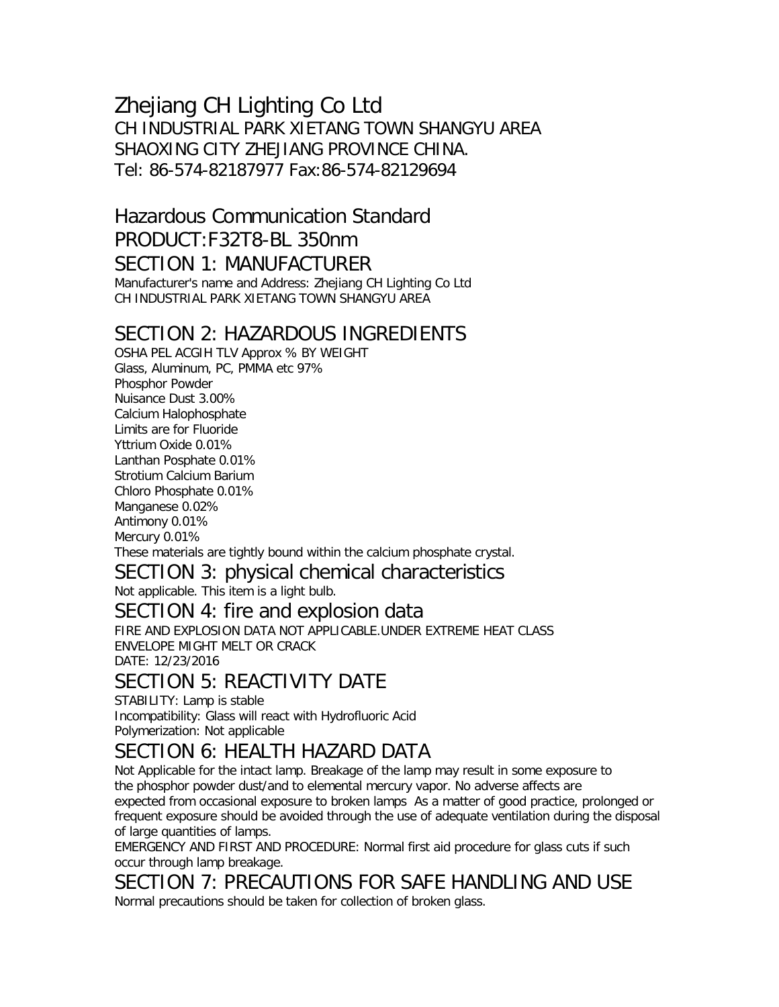### Zhejiang CH Lighting Co Ltd CH INDUSTRIAL PARK XIETANG TOWN SHANGYU AREA SHAOXING CITY ZHEJIANG PROVINCE CHINA. Tel: 86-574-82187977 Fax:86-574-82129694

## Hazardous Communication Standard PRODUCT:F32T8-BL 350nm SECTION 1: MANUFACTURER

Manufacturer's name and Address: Zhejiang CH Lighting Co Ltd CH INDUSTRIAL PARK XIETANG TOWN SHANGYU AREA

### SECTION 2: HAZARDOUS INGREDIENTS

OSHA PEL ACGIH TLV Approx % BY WEIGHT Glass, Aluminum, PC, PMMA etc 97% Phosphor Powder Nuisance Dust 3.00% Calcium Halophosphate Limits are for Fluoride Yttrium Oxide 0.01% Lanthan Posphate 0.01% Strotium Calcium Barium Chloro Phosphate 0.01% Manganese 0.02% Antimony 0.01% Mercury 0.01% These materials are tightly bound within the calcium phosphate crystal.

### SECTION 3: physical chemical characteristics

Not applicable. This item is a light bulb.

#### SECTION 4: fire and explosion data

FIRE AND EXPLOSION DATA NOT APPLICABLE.UNDER EXTREME HEAT CLASS ENVELOPE MIGHT MELT OR CRACK DATE: 12/23/2016

## SECTION 5: REACTIVITY DATE

STABILITY: Lamp is stable Incompatibility: Glass will react with Hydrofluoric Acid Polymerization: Not applicable

### SECTION 6: HEALTH HAZARD DATA

Not Applicable for the intact lamp. Breakage of the lamp may result in some exposure to the phosphor powder dust/and to elemental mercury vapor. No adverse affects are expected from occasional exposure to broken lamps As a matter of good practice, prolonged or frequent exposure should be avoided through the use of adequate ventilation during the disposal of large quantities of lamps.

EMERGENCY AND FIRST AND PROCEDURE: Normal first aid procedure for glass cuts if such occur through lamp breakage.

SECTION 7: PRECAUTIONS FOR SAFE HANDLING AND USE Normal precautions should be taken for collection of broken glass.